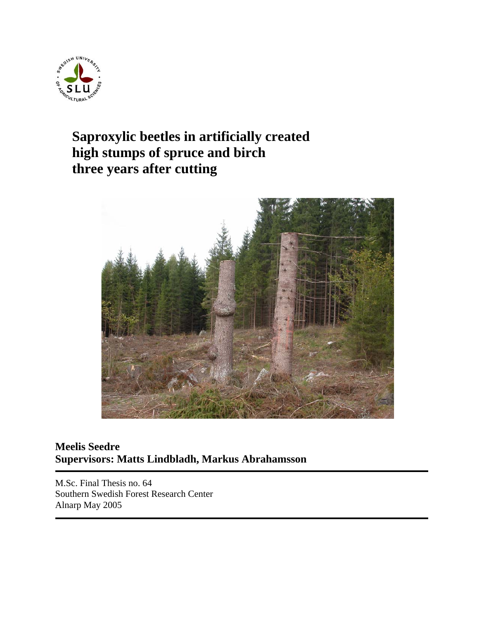

# **Saproxylic beetles in artificially created high stumps of spruce and birch three years after cutting**



## **Meelis Seedre Supervisors: Matts Lindbladh, Markus Abrahamsson**

M.Sc. Final Thesis no. 64 Southern Swedish Forest Research Center Alnarp May 2005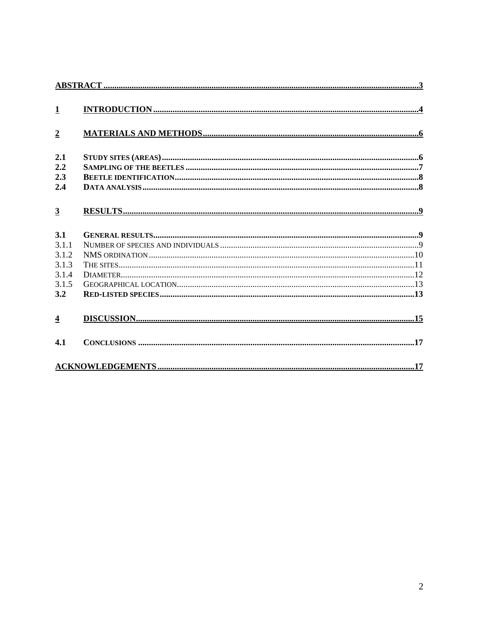| $\mathbf{1}$            |  |
|-------------------------|--|
|                         |  |
| $\overline{2}$          |  |
| 2.1                     |  |
| 2.2                     |  |
| 2.3                     |  |
| 2.4                     |  |
|                         |  |
| $\overline{3}$          |  |
|                         |  |
| 3.1                     |  |
| 3.1.1                   |  |
| 3.1.2                   |  |
| 3.1.3                   |  |
| 3.1.4                   |  |
| 3.1.5                   |  |
| 3.2                     |  |
|                         |  |
| $\overline{\mathbf{4}}$ |  |
|                         |  |
| 4.1                     |  |
|                         |  |
|                         |  |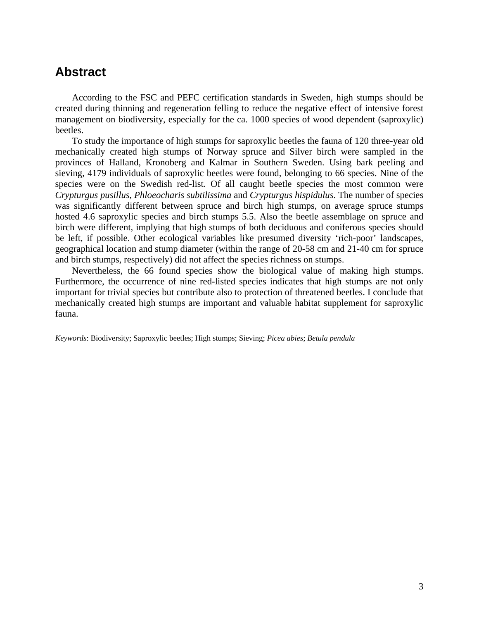## <span id="page-2-0"></span>**Abstract**

According to the FSC and PEFC certification standards in Sweden, high stumps should be created during thinning and regeneration felling to reduce the negative effect of intensive forest management on biodiversity, especially for the ca. 1000 species of wood dependent (saproxylic) beetles.

To study the importance of high stumps for saproxylic beetles the fauna of 120 three-year old mechanically created high stumps of Norway spruce and Silver birch were sampled in the provinces of Halland, Kronoberg and Kalmar in Southern Sweden. Using bark peeling and sieving, 4179 individuals of saproxylic beetles were found, belonging to 66 species. Nine of the species were on the Swedish red-list. Of all caught beetle species the most common were *Crypturgus pusillus*, *Phloeocharis subtilissima* and *Crypturgus hispidulus*. The number of species was significantly different between spruce and birch high stumps, on average spruce stumps hosted 4.6 saproxylic species and birch stumps 5.5. Also the beetle assemblage on spruce and birch were different, implying that high stumps of both deciduous and coniferous species should be left, if possible. Other ecological variables like presumed diversity 'rich-poor' landscapes, geographical location and stump diameter (within the range of 20-58 cm and 21-40 cm for spruce and birch stumps, respectively) did not affect the species richness on stumps.

Nevertheless, the 66 found species show the biological value of making high stumps. Furthermore, the occurrence of nine red-listed species indicates that high stumps are not only important for trivial species but contribute also to protection of threatened beetles. I conclude that mechanically created high stumps are important and valuable habitat supplement for saproxylic fauna.

*Keywords*: Biodiversity; Saproxylic beetles; High stumps; Sieving; *Picea abies*; *Betula pendula*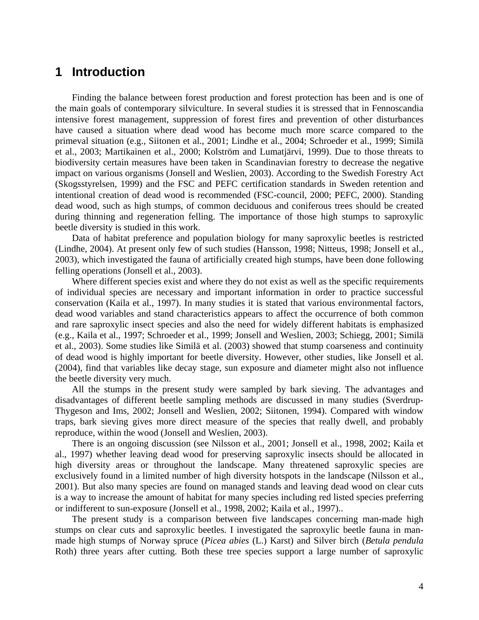## <span id="page-3-0"></span>**1 Introduction**

Finding the balance between forest production and forest protection has been and is one of the main goals of contemporary silviculture. In several studies it is stressed that in Fennoscandia intensive forest management, suppression of forest fires and prevention of other disturbances have caused a situation where dead wood has become much more scarce compared to the primeval situation (e.g., Siitonen et al., 2001; Lindhe et al., 2004; Schroeder et al., 1999; Similä et al., 2003; Martikainen et al., 2000; Kolström and Lumatjärvi, 1999). Due to those threats to biodiversity certain measures have been taken in Scandinavian forestry to decrease the negative impact on various organisms (Jonsell and Weslien, 2003). According to the Swedish Forestry Act (Skogsstyrelsen, 1999) and the FSC and PEFC certification standards in Sweden retention and intentional creation of dead wood is recommended (FSC-council, 2000; PEFC, 2000). Standing dead wood, such as high stumps, of common deciduous and coniferous trees should be created during thinning and regeneration felling. The importance of those high stumps to saproxylic beetle diversity is studied in this work.

Data of habitat preference and population biology for many saproxylic beetles is restricted (Lindhe, 2004). At present only few of such studies (Hansson, 1998; Nitteus, 1998; Jonsell et al., 2003), which investigated the fauna of artificially created high stumps, have been done following felling operations (Jonsell et al., 2003).

Where different species exist and where they do not exist as well as the specific requirements of individual species are necessary and important information in order to practice successful conservation (Kaila et al., 1997). In many studies it is stated that various environmental factors, dead wood variables and stand characteristics appears to affect the occurrence of both common and rare saproxylic insect species and also the need for widely different habitats is emphasized (e.g., Kaila et al., 1997; Schroeder et al., 1999; Jonsell and Weslien, 2003; Schiegg, 2001; Similä et al., 2003). Some studies like Similä et al. (2003) showed that stump coarseness and continuity of dead wood is highly important for beetle diversity. However, other studies, like Jonsell et al. (2004), find that variables like decay stage, sun exposure and diameter might also not influence the beetle diversity very much.

All the stumps in the present study were sampled by bark sieving. The advantages and disadvantages of different beetle sampling methods are discussed in many studies (Sverdrup-Thygeson and Ims, 2002; Jonsell and Weslien, 2002; Siitonen, 1994). Compared with window traps, bark sieving gives more direct measure of the species that really dwell, and probably reproduce, within the wood (Jonsell and Weslien, 2003).

There is an ongoing discussion (see Nilsson et al., 2001; Jonsell et al., 1998, 2002; Kaila et al., 1997) whether leaving dead wood for preserving saproxylic insects should be allocated in high diversity areas or throughout the landscape. Many threatened saproxylic species are exclusively found in a limited number of high diversity hotspots in the landscape (Nilsson et al., 2001). But also many species are found on managed stands and leaving dead wood on clear cuts is a way to increase the amount of habitat for many species including red listed species preferring or indifferent to sun-exposure (Jonsell et al., 1998, 2002; Kaila et al., 1997)..

The present study is a comparison between five landscapes concerning man-made high stumps on clear cuts and saproxylic beetles. I investigated the saproxylic beetle fauna in manmade high stumps of Norway spruce (*Picea abies* (L.) Karst) and Silver birch (*Betula pendula*  Roth) three years after cutting. Both these tree species support a large number of saproxylic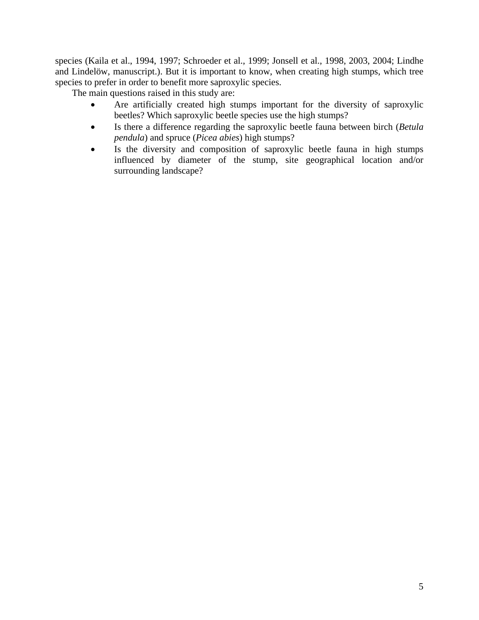species (Kaila et al., 1994, 1997; Schroeder et al., 1999; Jonsell et al., 1998, 2003, 2004; Lindhe and Lindelöw, manuscript.). But it is important to know, when creating high stumps, which tree species to prefer in order to benefit more saproxylic species.

The main questions raised in this study are:

- Are artificially created high stumps important for the diversity of saproxylic beetles? Which saproxylic beetle species use the high stumps?
- Is there a difference regarding the saproxylic beetle fauna between birch (*Betula pendula*) and spruce (*Picea abies*) high stumps?
- Is the diversity and composition of saproxylic beetle fauna in high stumps influenced by diameter of the stump, site geographical location and/or surrounding landscape?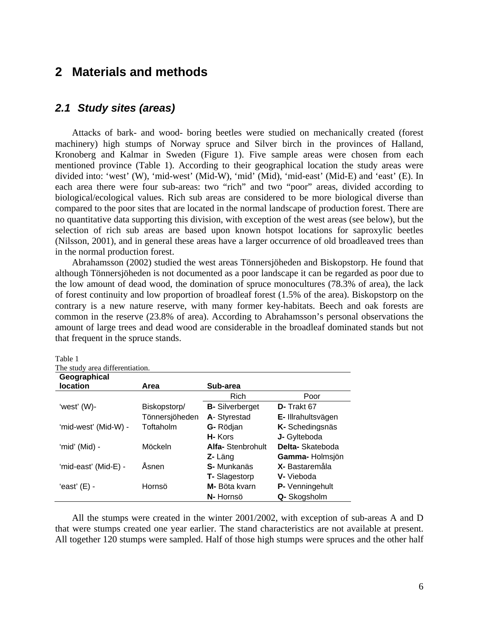# <span id="page-5-0"></span>**2 Materials and methods**

### *2.1 Study sites (areas)*

Attacks of bark- and wood- boring beetles were studied on mechanically created (forest machinery) high stumps of Norway spruce and Silver birch in the provinces of Halland, Kronoberg and Kalmar in Sweden (Figure 1). Five sample areas were chosen from each mentioned province (Table 1). According to their geographical location the study areas were divided into: 'west' (W), 'mid-west' (Mid-W), 'mid' (Mid), 'mid-east' (Mid-E) and 'east' (E). In each area there were four sub-areas: two "rich" and two "poor" areas, divided according to biological/ecological values. Rich sub areas are considered to be more biological diverse than compared to the poor sites that are located in the normal landscape of production forest. There are no quantitative data supporting this division, with exception of the west areas (see below), but the selection of rich sub areas are based upon known hotspot locations for saproxylic beetles (Nilsson, 2001), and in general these areas have a larger occurrence of old broadleaved trees than in the normal production forest.

Abrahamsson (2002) studied the west areas Tönnersjöheden and Biskopstorp. He found that although Tönnersjöheden is not documented as a poor landscape it can be regarded as poor due to the low amount of dead wood, the domination of spruce monocultures (78.3% of area), the lack of forest continuity and low proportion of broadleaf forest (1.5% of the area). Biskopstorp on the contrary is a new nature reserve, with many former key-habitats. Beech and oak forests are common in the reserve (23.8% of area). According to Abrahamsson's personal observations the amount of large trees and dead wood are considerable in the broadleaf dominated stands but not that frequent in the spruce stands.

Table 1 The study area differentiation.

| Geographical         |                |                          |                    |
|----------------------|----------------|--------------------------|--------------------|
| location             | Area           | Sub-area                 |                    |
|                      |                | Rich                     | Poor               |
| 'west' (W)-          | Biskopstorp/   | <b>B-</b> Silverberget   | D- Trakt 67        |
|                      | Tönnersjöheden | A-Styrestad              | E- Illrahultsvägen |
| 'mid-west' (Mid-W) - | Toftaholm      | G- Rödjan                | K-Schedingsnäs     |
|                      |                | H-Kors                   | J- Gylteboda       |
| 'mid' (Mid) -        | Möckeln        | <b>Alfa-</b> Stenbrohult | Delta-Skateboda    |
|                      |                | Z- Läng                  | Gamma-Holmsjön     |
| 'mid-east' (Mid-E) - | Åsnen          | S- Munkanäs              | X- Bastaremåla     |
|                      |                | <b>T-Slagestorp</b>      | V- Vieboda         |
| 'east' (E) -         | Hornsö         | M- Böta kvarn            | P- Venningehult    |
|                      |                | N- Hornsö                | Q- Skogsholm       |

All the stumps were created in the winter 2001/2002, with exception of sub-areas A and D that were stumps created one year earlier. The stand characteristics are not available at present. All together 120 stumps were sampled. Half of those high stumps were spruces and the other half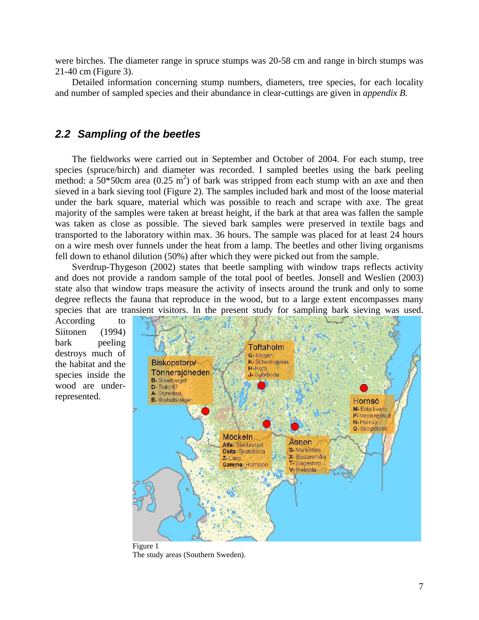<span id="page-6-0"></span>were birches. The diameter range in spruce stumps was 20-58 cm and range in birch stumps was 21-40 cm (Figure 3).

Detailed information concerning stump numbers, diameters, tree species, for each locality and number of sampled species and their abundance in clear-cuttings are given in *appendix B.* 

### *2.2 Sampling of the beetles*

The fieldworks were carried out in September and October of 2004. For each stump, tree species (spruce/birch) and diameter was recorded. I sampled beetles using the bark peeling method: a  $50*50$ cm area  $(0.25 \text{ m}^2)$  of bark was stripped from each stump with an axe and then sieved in a bark sieving tool (Figure 2). The samples included bark and most of the loose material under the bark square, material which was possible to reach and scrape with axe. The great majority of the samples were taken at breast height, if the bark at that area was fallen the sample was taken as close as possible. The sieved bark samples were preserved in textile bags and transported to the laboratory within max. 36 hours. The sample was placed for at least 24 hours on a wire mesh over funnels under the heat from a lamp. The beetles and other living organisms fell down to ethanol dilution (50%) after which they were picked out from the sample.

Sverdrup-Thygeson (2002) states that beetle sampling with window traps reflects activity and does not provide a random sample of the total pool of beetles. Jonsell and Weslien (2003) state also that window traps measure the activity of insects around the trunk and only to some degree reflects the fauna that reproduce in the wood, but to a large extent encompasses many species that are transient visitors. In the present study for sampling bark sieving was used.

According to Siitonen (1994) bark peeling destroys much of the habitat and the species inside the wood are underrepresented.



Figure 1 The study areas (Southern Sweden).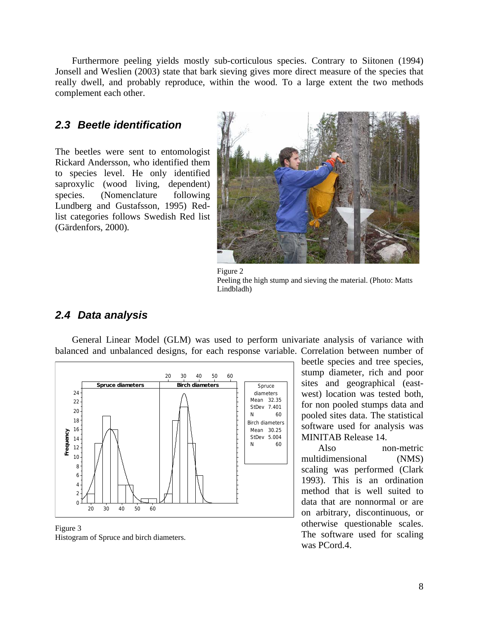<span id="page-7-0"></span>Furthermore peeling yields mostly sub-corticulous species. Contrary to Siitonen (1994) Jonsell and Weslien (2003) state that bark sieving gives more direct measure of the species that really dwell, and probably reproduce, within the wood. To a large extent the two methods complement each other.

## *2.3 Beetle identification*

The beetles were sent to entomologist Rickard Andersson, who identified them to species level. He only identified saproxylic (wood living, dependent) species. (Nomenclature following Lundberg and Gustafsson, 1995) Redlist categories follows Swedish Red list (Gärdenfors, 2000)*.*



Figure 2 Peeling the high stump and sieving the material. (Photo: Matts Lindbladh)

## *2.4 Data analysis*

General Linear Model (GLM) was used to perform univariate analysis of variance with balanced and unbalanced designs, for each response variable. Correlation between number of



Figure 3 Histogram of Spruce and birch diameters.

beetle species and tree species, stump diameter, rich and poor sites and geographical (eastwest) location was tested both, for non pooled stumps data and pooled sites data. The statistical software used for analysis was MINITAB Release 14.

method that is well suited to data that are nonnormal or are Also non-metric multidimensional (NMS) scaling was performed (Clark 1993). This is an ordination on arbitrary, discontinuous, or otherwise questionable scales. The software used for scaling was PCord.4.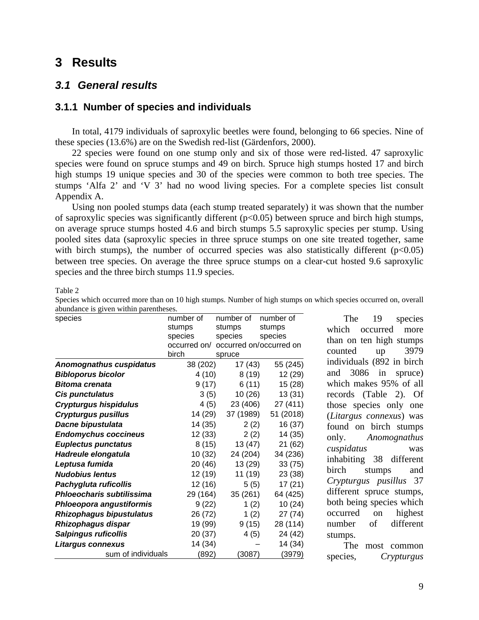## <span id="page-8-0"></span>**3 Results**

## *3.1 General results*

## **3.1.1 Number of species and individuals**

In total, 4179 individuals of saproxylic beetles were found, belonging to 66 species. Nine of these species (13.6%) are on the Swedish red-list (Gärdenfors, 2000).

22 species were found on one stump only and six of those were red-listed. 47 saproxylic species were found on spruce stumps and 49 on birch. Spruce high stumps hosted 17 and birch high stumps 19 unique species and 30 of the species were common to both tree species. The stum ps 'Alfa 2' and 'V 3' had no wood living species. For a complete species list consult Appendix A.

on average spruce stumps hosted 4.6 and birch stumps 5.5 saproxylic species per stump. Using pool ed sites data (saproxylic species in three spruce stumps on one site treated together, same Using non pooled stumps data (each stump treated separately) it was shown that the number of saproxylic species was significantly different (p<0.05) between spruce and birch high stumps, with birch stumps), the number of occurred species was also statistically different  $(p<0.05)$ between tree species. On average the three spruce stumps on a clear-cut hosted 9.6 saproxylic species and the three birch stumps 11.9 species.

Table 2

| species                         | number of    | number of               | number of |
|---------------------------------|--------------|-------------------------|-----------|
|                                 | stumps       | stumps                  | stumps    |
|                                 | species      | species                 | species   |
|                                 | occurred on/ | occurred on/occurred on |           |
|                                 | birch        | spruce                  |           |
| <b>Anomognathus cuspidatus</b>  | 38 (202)     | 17 (43)                 | 55 (245)  |
| <b>Bibloporus bicolor</b>       | 4 (10)       | 8(19)                   | 12 (29)   |
| <b>Bitoma crenata</b>           | 9(17)        | 6(11)                   | 15(28)    |
| Cis punctulatus                 | 3(5)         | 10(26)                  | 13(31)    |
| <b>Crypturgus hispidulus</b>    | 4 (5)        | 23 (406)                | 27 (411)  |
| <b>Crypturgus pusillus</b>      | 14 (29)      | 37 (1989)               | 51 (2018) |
| Dacne bipustulata               | 14 (35)      | 2(2)                    | 16 (37)   |
| <b>Endomychus coccineus</b>     | 12 (33)      | 2(2)                    | 14 (35)   |
| <b>Euplectus punctatus</b>      | 8(15)        | 13 (47)                 | 21 (62)   |
| Hadreule elongatula             | 10 (32)      | 24 (204)                | 34 (236)  |
| Leptusa fumida                  | 20 (46)      | 13 (29)                 | 33(75)    |
| <b>Nudobius lentus</b>          | 12 (19)      | 11 (19)                 | 23 (38)   |
| Pachygluta ruficollis           | 12 (16)      | 5(5)                    | 17(21)    |
| Phloeocharis subtilissima       | 29 (164)     | 35 (261)                | 64 (425)  |
| Phloeopora angustiformis        | 9(22)        | 1(2)                    | 10(24)    |
| <b>Rhizophagus bipustulatus</b> | 26 (72)      | 1(2)                    | 27 (74)   |
| Rhizophagus dispar              | 19 (99)      | 9(15)                   | 28 (114)  |
| <b>Salpingus ruficollis</b>     | 20 (37)      | 4(5)                    | 24 (42)   |
| Litargus connexus               | 14 (34)      |                         | 14 (34)   |
| sum of individuals              | (892)        | (3087)                  | (3979)    |

Species which occurred more than on 10 high stumps. Number of high stumps on which species occurred on, overall abundance is given within parentheses.

> The 19 species than on ten high stumps counted up 3979 individuals (892 in birch and 3086 in spruce) which makes 95% of all records (Table 2). Of those species only one (*Litargus connexus*) was found on birch stumps only. *Anomognathus cuspidatus* was inhabiting 38 different birch stumps and *Crypturgus pusillus* 37 different spruce stumps, both being species which occurred on highest number of different stumps. which occurred more

> The most common species, *Crypturgus*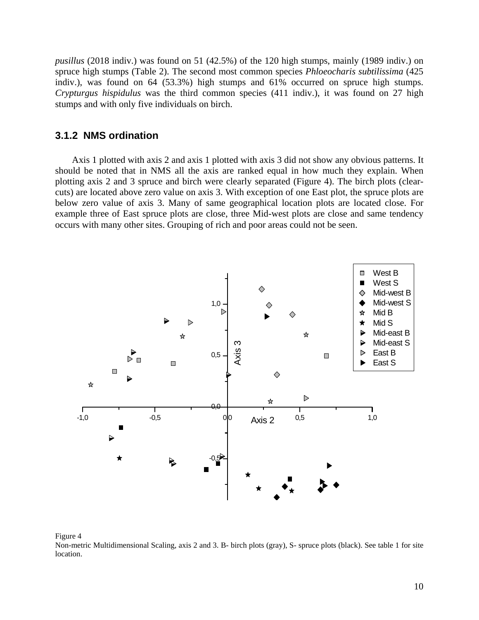<span id="page-9-0"></span>*pusillus* (2018 indiv.) was found on 51 (42.5%) of the 120 high stumps, mainly (1989 indiv.) on spruce high stumps (Table 2). The second most common species *Phloeocharis subtilissima* (425 indiv.), was found on  $64$  (53.3%) high stumps and  $61\%$  occurred on spruce high stumps. *Crypturgus hispidulus* was the third common species (411 indiv.), i t was found on 27 high stumps and with only five individuals on birch.

### **3.1.2 NMS ordination**

plotting axis 2 and 3 spruce and birch were clearly separated (Figure 4). The birch plots (clearcuts ) are located above zero value on axis 3. With exception of one East plot, the spruce plots are Axis 1 plotted with axis 2 and axis 1 plotted with axis 3 did not show any obvious patterns. It should be noted that in NMS all the axis are ranked equal in how much they explain. When below zero value of axis 3. Many of same geographical location plots are located close. For example three of East spruce plots are close, three Mid-west plots are close and same tendency occurs with many other sites. Grouping of rich and poor areas could not be seen.



#### Figure 4

Non-metric Multidimensional Scaling, axis 2 and 3. B- birch plots (gray), S- spruce plots (black). See table 1 for site location.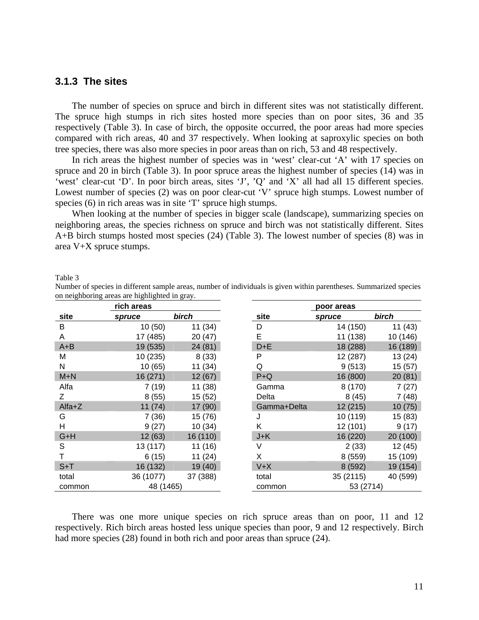### <span id="page-10-0"></span>**3.1.3 The sites**

The number of species on spruce and birch in different sites was not statistically different. The spruce high stumps in rich sites hosted more species than on poor sites, 36 and 35 respectively (Table 3). In case of birch, the opposite occurred, the poor areas had more species compared with rich areas, 40 and 37 respectively. When looking at saproxylic species on both tree species, there was also more species in poor areas than on rich, 53 and 48 respectively.

In rich areas the highest number of species was in 'west' clear-cut 'A' with 17 species on spruce and 20 in birch (Table 3). In poor spruce areas the highest number of species (14) was in 'west' clear-cut 'D'. In poor birch areas, sites 'J', 'Q' and 'X' all had all 15 different species. Lowest number of species (2) was on poor clear-cut 'V' spruce high stumps. Lowest number of species (6) in rich areas was in site 'T' spruce high stumps.

When looking at the number of species in bigger scale (landscape), summarizing species on neighboring areas, the species richness on spruce and birch was not statistically different. Sites A+B birch stumps hosted most species (24) (Table 3). The lowest number of species (8) was in area V+X spruce stumps.

Table 3

Number of species in different sample areas, number of individuals is given within parentheses. Summarized species on neighboring areas are highlighted in gray.

|         | rich areas |          |             | poor areas |          |
|---------|------------|----------|-------------|------------|----------|
| site    | spruce     | birch    | site        | spruce     | birch    |
| В       | 10(50)     | 11 (34)  | D           | 14 (150)   | 11(43)   |
| A       | 17 (485)   | 20 (47)  | E           | 11 (138)   | 10 (146) |
| $A + B$ | 19 (535)   | 24 (81)  | $D + E$     | 18 (288)   | 16 (189) |
| м       | 10 (235)   | 8(33)    | P           | 12 (287)   | 13(24)   |
| N       | 10(65)     | 11 (34)  | Q           | 9(513)     | 15(57)   |
| $M+N$   | 16 (271)   | 12(67)   | $P + Q$     | 16 (800)   | 20(81)   |
| Alfa    | 7(19)      | 11 (38)  | Gamma       | 8(170)     | 7(27)    |
| Ζ       | 8(55)      | 15(52)   | Delta       | 8(45)      | 7(48)    |
| Alfa+Z  | 11(74)     | 17 (90)  | Gamma+Delta | 12 (215)   | 10(75)   |
| G       | 7(36)      | 15 (76)  | J           | 10 (119)   | 15 (83)  |
| н       | 9(27)      | 10(34)   | Κ           | 12 (101)   | 9(17)    |
| G+H     | 12 (63)    | 16 (110) | $J+K$       | 16 (220)   | 20 (100) |
| S       | 13 (117)   | 11 (16)  | V           | 2(33)      | 12(45)   |
|         | 6(15)      | 11(24)   | X           | 8(559)     | 15 (109) |
| $S+T$   | 16 (132)   | 19 (40)  | $V+X$       | 8(592)     | 19 (154) |
| total   | 36 (1077)  | 37 (388) | total       | 35 (2115)  | 40 (599) |
| common  | 48 (1465)  |          | common      | 53 (2714)  |          |

There was one more unique species on rich spruce areas than on poor, 11 and 12 respectively. Rich birch areas hosted less unique species than poor, 9 and 12 respectively. Birch had more species (28) found in both rich and poor areas than spruce (24).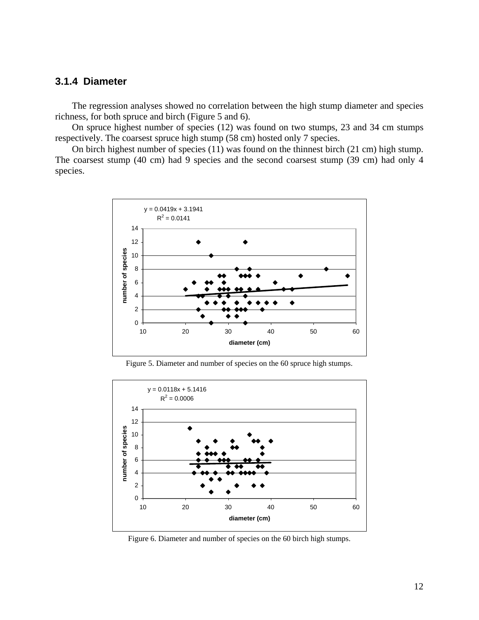### <span id="page-11-0"></span>**3.1.4 Diameter**

The regression analyses showed no correlation between the high stump diameter and species richness, for both spruce and birch (Figure 5 and 6).

On spruce highest number of species  $(12)$  was found on two stumps, 23 and 34 cm stumps respectively. The coarsest spruce high stump (58 cm) hosted only 7 species.

On birch highest number of species (11) was found on the thinnest birch (21 cm) high stump. The coarsest stump (40 cm) had 9 species and the second coarsest stump (39 cm) had only 4 species.



Figure 5. Diameter and number of species on the 60 spruce high stumps.



Figure 6. Diameter and number of species on the 60 birch high stumps.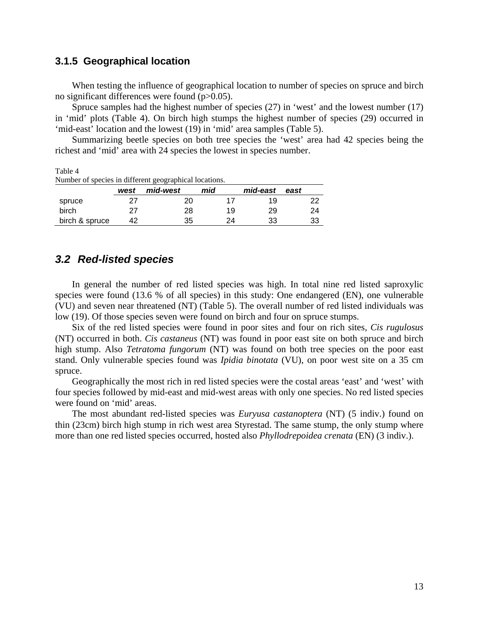### <span id="page-12-0"></span>**3.1.5 Geographical location**

When testing the influence of geographical location to number of species on spruce and birch no significant differences were found (p>0.05).

Spruce samples had the highest number of species (27) in 'west' and the lowest number (17) in 'mid' plots (Table 4). On birch high stumps the highest number of species (29) occurred in 'mid-east' location and the lowest (19) in 'mid' area samples (Table 5).

Summarizing beetle species on both tree species the 'west' area had 42 species being the richest and 'mid' area with 24 species the lowest in species number.

Table 4 Number of species in different geographical locations.

|                | west | - - <del>. .</del> -<br>mid-west | mid | mid-east | east |
|----------------|------|----------------------------------|-----|----------|------|
| spruce         |      | 20                               |     | 19       |      |
| birch          | 27   | 28                               | 19  | 29       | 24   |
| birch & spruce | 42   | 35                               | 24  | 33       | 33   |

## *3.2 Red-listed species*

In general the number of red listed species was high. In total nine red listed saproxylic species were found (13.6 % of all species) in this study: One endangered (EN), one vulnerable (VU) and seven near threatened (NT) (Table 5). The overall number of red listed individuals was low (19). Of those species seven were found on birch and four on spruce stumps.

Six of the red listed species were found in poor sites and four on rich sites*, Cis rugulosus* (NT) occurred in both. *Cis castaneus* (NT) was found in poor east site on both spruce and birch high stump. Also *Tetratoma fungorum* (NT) was found on both tree species on the poor east stand. Only vulnerable species found was *Ipidia binotata* (VU), on poor west site on a 35 cm spruce.

Geographically the most rich in red listed species were the costal areas 'east' and 'west' with four species followed by mid-east and mid-west areas with only one species. No red listed species were found on 'mid ' areas.

The most abundant red-listed species was *Euryusa castanoptera* (NT) (5 indiv.) found on thin (23cm) birch high stump in rich west area Styrestad. The same stump, the only stump where more than one red listed species occurred, hosted also *Phyllodrepoidea crenata* (EN) (3 indiv.).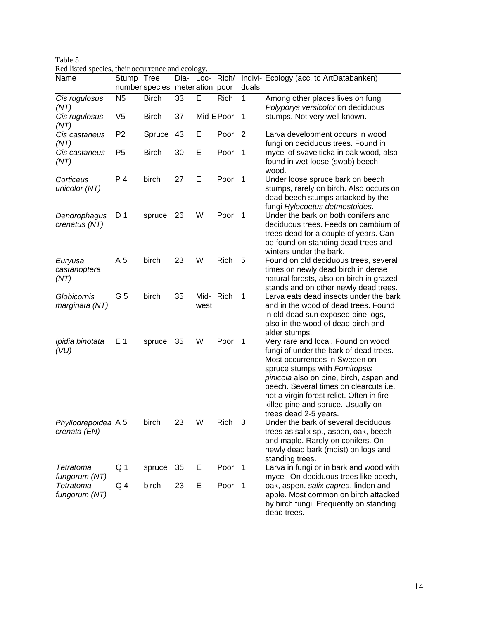| Name                                | $\cdots$ $\cdots$<br>Stump Tree |                                 |    |                  | Dia- Loc- Rich/   |                | Indivi- Ecology (acc. to ArtDatabanken)                                                                                                                                                                                                                                                                                                         |
|-------------------------------------|---------------------------------|---------------------------------|----|------------------|-------------------|----------------|-------------------------------------------------------------------------------------------------------------------------------------------------------------------------------------------------------------------------------------------------------------------------------------------------------------------------------------------------|
|                                     |                                 | number species meter ation poor |    |                  |                   | duals          |                                                                                                                                                                                                                                                                                                                                                 |
| Cis rugulosus<br>(NT)               | N <sub>5</sub>                  | <b>Birch</b>                    | 33 | E                | <b>Rich</b>       | 1              | Among other places lives on fungi<br>Polyporys versicolor on deciduous                                                                                                                                                                                                                                                                          |
| Cis rugulosus<br>(NT)               | V <sub>5</sub>                  | <b>Birch</b>                    | 37 |                  | Mid-EPoor         | 1              | stumps. Not very well known.                                                                                                                                                                                                                                                                                                                    |
| Cis castaneus<br>(NT)               | P <sub>2</sub>                  | Spruce                          | 43 | Е                | Poor <sub>2</sub> |                | Larva development occurs in wood<br>fungi on deciduous trees. Found in                                                                                                                                                                                                                                                                          |
| Cis castaneus<br>(NT)               | P <sub>5</sub>                  | <b>Birch</b>                    | 30 | Е                | Poor <sub>1</sub> |                | mycel of svavelticka in oak wood, also<br>found in wet-loose (swab) beech<br>wood.                                                                                                                                                                                                                                                              |
| Corticeus<br>unicolor (NT)          | P 4                             | birch                           | 27 | Е                | Poor              | $\overline{1}$ | Under loose spruce bark on beech<br>stumps, rarely on birch. Also occurs on<br>dead beech stumps attacked by the<br>fungi Hylecoetus detmestoides.                                                                                                                                                                                              |
| Dendrophagus<br>crenatus (NT)       | D <sub>1</sub>                  | spruce                          | 26 | W                | Poor              | $\overline{1}$ | Under the bark on both conifers and<br>deciduous trees. Feeds on cambium of<br>trees dead for a couple of years. Can<br>be found on standing dead trees and<br>winters under the bark.                                                                                                                                                          |
| Euryusa<br>castanoptera<br>(NT)     | A 5                             | birch                           | 23 | W                | Rich              | 5              | Found on old deciduous trees, several<br>times on newly dead birch in dense<br>natural forests, also on birch in grazed<br>stands and on other newly dead trees.                                                                                                                                                                                |
| Globicornis<br>marginata (NT)       | G 5                             | birch                           | 35 | Mid-Rich<br>west |                   | 1              | Larva eats dead insects under the bark<br>and in the wood of dead trees. Found<br>in old dead sun exposed pine logs,<br>also in the wood of dead birch and<br>alder stumps.                                                                                                                                                                     |
| Ipidia binotata<br>(VU)             | E 1                             | spruce                          | 35 | W                | Poor              | $\overline{1}$ | Very rare and local. Found on wood<br>fungi of under the bark of dead trees.<br>Most occurrences in Sweden on<br>spruce stumps with Fomitopsis<br>pinicola also on pine, birch, aspen and<br>beech. Several times on clearcuts i.e.<br>not a virgin forest relict. Often in fire<br>killed pine and spruce. Usually on<br>trees dead 2-5 years. |
| Phyllodrepoidea A 5<br>crenata (EN) |                                 | birch                           | 23 | W                | Rich              |                | Under the bark of several deciduous<br>trees as salix sp., aspen, oak, beech<br>and maple. Rarely on conifers. On<br>newly dead bark (moist) on logs and<br>standing trees.                                                                                                                                                                     |
| Tetratoma<br>fungorum (NT)          | Q 1                             | spruce                          | 35 | Е                | Poor <sub>1</sub> |                | Larva in fungi or in bark and wood with<br>mycel. On deciduous trees like beech,                                                                                                                                                                                                                                                                |
| <b>Tetratoma</b><br>fungorum (NT)   | Q4                              | birch                           | 23 | Е                | Poor <sub>1</sub> |                | oak, aspen, salix caprea, linden and<br>apple. Most common on birch attacked<br>by birch fungi. Frequently on standing<br>dead trees.                                                                                                                                                                                                           |

| Table 5                                           |
|---------------------------------------------------|
| Red listed species, their occurrence and ecology. |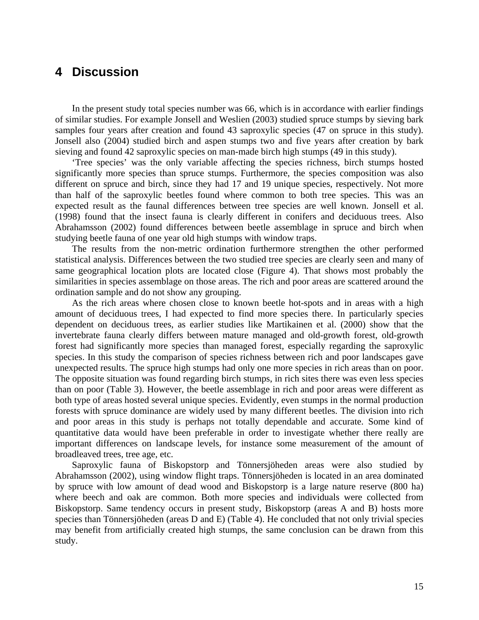## <span id="page-14-0"></span>**4 Discussion**

In the present study total species number was 66, which is in accordance with earlier findings of similar studies. For example Jonsell and Weslien (2003) studied spruce stumps by sieving bark samples four years after creation and found 43 saproxylic species (47 on spruce in this study). Jonsell also (2004) studied birch and aspen stumps two and five years after creation by bark sieving and found 42 saproxylic species on man-made birch high stumps (49 in this study).

Tree species' was the only variable affecting the species richness, birch stumps hosted ' significantly more species than spruce stumps. Furthermore, the species composition was also different on spruce and birch, since they had 17 and 19 unique species, respectively. Not more than half of the saproxylic beetles found where common to both tree species. This was an expected result as the faunal differences between tree species are well known. Jonsell et al. (1998) found that the insect fauna is clearly different in conifers and deciduous trees. Also Abrahamsson (2002) found differences between beetle assemblage in spruce and birch when studying beetle fauna of one year old high stumps with window traps.

The results from the non-metric ordination furthermore strengthen the other performed statistical analysis. Differences between the two studied tree species are clearly seen and many of same geographical location plots are located close (Figure 4). That shows most probably the similarities in species assemblage on those areas. The rich and poor areas are scattered around the ordination sample and do not show any grouping.

As the rich areas where chosen close to known beetle hot-spots and in areas with a high amount of deciduous trees, I had expected to find more species there. In particularly species dependent on deciduous trees, as earlier studies like Martikainen et al. (2000) show that the invertebrate fauna clearly differs between mature managed and old-growth forest, old-growth forest had significantly more species than managed forest, especially regarding the saproxylic species. In this study the comparison of species richness between rich and poor landscapes gave unexpected results. The spruce high stumps had only one more species in rich areas than on poor. The opposite situation was found regarding birch stumps, in rich sites there was even less species than on poor (Table 3). However, the beetle assemblage in rich and poor areas were different as both type of areas hosted several unique species. Evidently, even stumps in the normal production forests with spruce dominance are widely used by many different beetles. The division into rich and poor areas in this study is perhaps not totally dependable and accurate. Some kind of quantitative data would have been preferable in order to investigate whether there really are important differences on landscape levels, for instance some measurement of the amount of broadleaved trees, tree age, etc.

Saproxylic fauna of Biskopstorp and Tönnersjöheden areas were also studied by Abrahamsson (2002), using window flight traps. Tönnersjöheden is located in an area dominated by spruce with low amount of dead wood and Biskopstorp is a large nature reserve (800 ha) where beech and oak are common. Both more species and individuals were collected from Biskopstorp. Same tendency occurs in present study, Biskopstorp (areas A and B) hosts more species than Tönnersjöheden (areas D and E) (Table 4). He concluded that not only trivial species may benefit from artificially created high stumps, the same conclusion can be drawn from this study.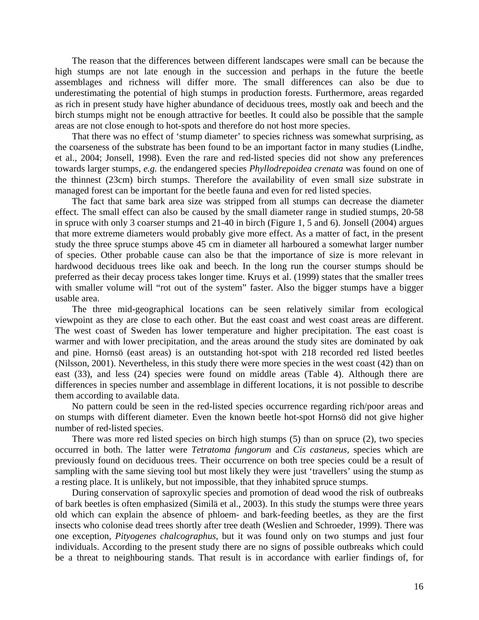The reason that the differences between different landscapes were small can be because the high stumps are not late enough in the succession and perhaps in the future the beetle assemblages and richness will differ more. The small differences can also be due to underestimating the potential of high stumps in production forests. Furthermore, areas regarded as ri ch in present study have higher abundance of deciduous trees, mostly oak and beech and the birch stumps might not be enough attractive for beetles. It could also be possible that the sample areas are not close enough to hot-spots and therefore do not host more species.

That there was no effect of 'stump diameter' to species richness was somewhat surprising, as the coarseness of the substrate has been found to be an important factor in many studies (Lindhe, et al., 2004; Jonsell, 1998). Even the rare and red-listed species did not show any preferences towards larger stumps, *e.g.* the endangered species *Phyllodrepoidea crenata* was found on one of the thinnest (23cm) birch stumps. Therefore the availability of even small size substrate in managed forest can be important for the beetle fauna and even for red listed species.

The fact that same bark area size was stripped from all stumps can decrease the diameter effect. The small effect can also be caused by the small diameter range in studied stumps, 20-58 in spruce with only 3 coarser stumps and 21-40 in birch (Figure 1, 5 and 6). Jonsell (2004) argues that more extreme diameters would probably give more effect. As a matter of fact, in the present study the three spruce stumps above 45 cm in diameter all harboured a somewhat larger number of species. Other probable cause can also be that the importance of size is more relevant in hardwood deciduous trees like oak and beech. In the long run the courser stumps should be preferred as their decay process takes longer time. Kruys et al. (1999) states that the smaller trees with smaller volume will "rot out of the system" faster. Also the bigger stumps have a bigger usable area.

The three mid-geographical locations can be seen relatively similar from ecological viewpoint as they are close to each other. But the east coast and west coast areas are different. The west coast of Sweden has lower temperature and higher precipitation. The east coast is warmer and with lower precipitation, and the areas around the study sites are dominated by oak and pine. Hornsö (east areas) is an outstanding hot-spot with 218 recorded red listed beetles (Nilsson, 2001). Nevertheless, in this study there were more species in the west coast (42) than on east (33), and less (24) species were found on middle areas (Table 4). Although there are differences in species number and assemblage in different locations, it is not possible to describe them according to available data.

No pattern could be seen in the red-listed species occurrence regarding rich/poor areas and on stumps with different diameter. Even the known beetle hot-spot Hornsö did not give higher number of red-listed species.

There was more red listed species on birch high stumps (5) than on spruce (2), two species occurred in both. The latter were *Tetratoma fungorum* and *Cis castaneus,* species which are previously found on deciduous trees. Their occurrence on both tree species could be a result of sampling with the same sieving tool but most likely they were just 'travellers' using the stump as a resting place. It is unlikely, but not impossible, that they inhabited spruce stumps.

individuals. According to the present study there are no signs of possible outbreaks which could be a threat to neighbouring stands. That result is in accordance with earlier findings of, for During conservation of saproxylic species and promotion of dead wood the risk of outbreaks of bark beetles is often emphasized (Similä et al., 2003). In this study the stumps were three years old which can explain the absence of phloem- and bark-feeding beetles, as they are the first insects who colonise dead trees shortly after tree death (Weslien and Schroeder, 1999). There was one exception, *Pityogenes chalcographus,* but it was found only on two stumps and just four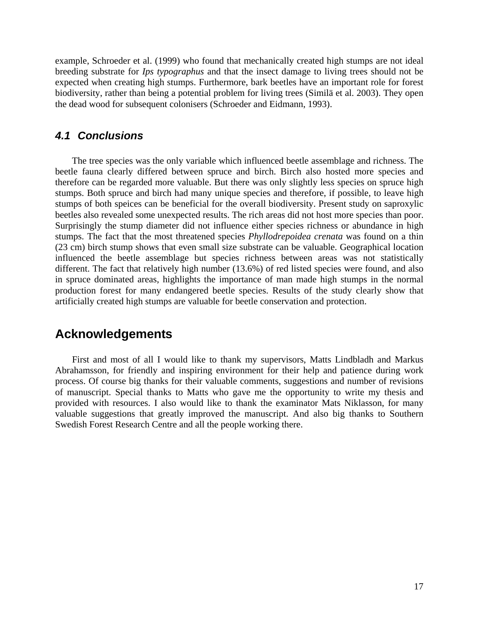<span id="page-16-0"></span>exam ple, Schroeder et al. (1999) who found that mechanically created high stumps are not ideal breeding substrate for *Ips typographus* and that the insect damage to living trees should not be expected when creating high stumps. Furthermore, bark beetles have an important role for forest biodiversity, rather than being a potential problem for living trees (Similä et al. 2003). They open the dead wood for subsequent colonisers (Schroeder and Eidmann, 1993).

### *4.1 Conclusions*

The tree species was the only variable which influenced beetle assemblage and richness. The beetle fauna clearly differed between spruce and birch. Birch also hosted more species and therefore can be regarded more valuable. But there was only slightly less species on spruce high stumps. Both spruce and birch had many unique species and therefore, if possible, to leave high stumps of both speices can be beneficial for the overall biodiversity. Present study on saproxylic beetles also revealed some unexpected results. The rich areas did not host more species than poor. Surprisingly the stump diameter did not influence either species richness or abundance in high stumps. The fact that the most threatened species *Phyllodrepoidea crenata* was found on a thin (23 cm) birch stump shows that even small size substrate can be valuable. Geographical location influenced the beetle assemblage but species richness between areas was not statistically different. The fact that relatively high number (13.6%) of red listed species were found, and also in spruce dominated areas, highlights the importance of man made high stumps in the normal production forest for many endangered beetle species. Results of the study clearly show that artificially created high stumps are valuable for beetle conservation and protection.

## **Acknowledgements**

First and most of all I would like to thank my supervisors, Matts Lindbladh and Markus Abrahamsson, for friendly and inspiring environment for their help and patience during work process. Of course big thanks for their valuable comments, suggestions and number of revisions of manuscript. Special thanks to Matts who gave me the opportunity to write my thesis and provided with resources. I also would like to thank the examinator Mats Niklasson, for many valuable suggestions that greatly improved the manuscript. And also big thanks to Southern Swedish Forest Research Centre and all the people working there.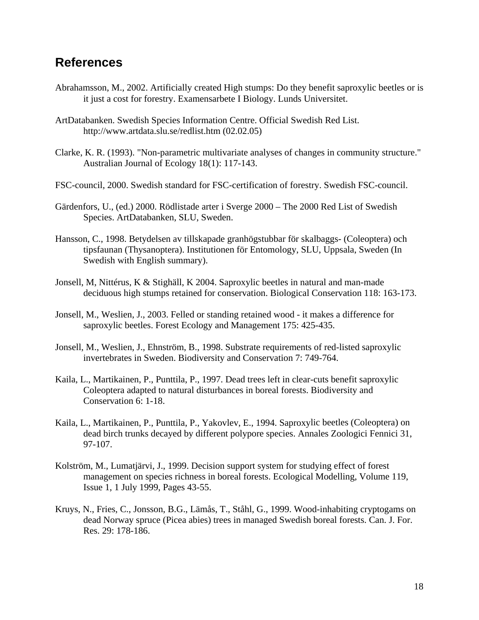## **References**

- Abrahamsson, M., 2002. Artificially created High stumps: Do they benefit saproxylic beetles or is it just a cost for forestry. Examensarbete I Biology. Lunds Universitet.
- ArtDatabanken. Swedish Species Information Centre. Official Swedish Red List. http://www.artdata.slu.se/redlist.htm (02.02.05)
- Clarke, K. R. (1993). "Non-parametric multivariate analyses of changes in community structure." Australian Journal of Ecology 18(1): 117-143.
- FSC-council, 2000. Swedish standard for FSC-certification of forestry. Swedish FSC-council.
- Gärdenfors, U., (ed.) 2000. Rödlistade arter i Sverge 2000 The 2000 Red List of Swedish Species. ArtDatabanken, SLU, Sweden.
- Hansson, C., 1998. Betydelsen av tillskapade granhögstubbar för skalbaggs- (Coleoptera) och tipsfaunan (Thysanoptera). Institutionen för Entomology, SLU, Uppsala, Sweden (In Swedish with English summary).
- Jonsell, M, Nittérus, K & Stighäll, K 2004. Saproxylic beetles in natural and man-made deciduous high stumps retained for conservation. Biological Conservation 118: 163-173.
- Jonsell, M., Weslien, J., 2003. Felled or standing retained wood it makes a difference for saproxylic beetles. Forest Ecology and Management 175: 425-435.
- Jonsell, M., Weslien, J., Ehnström, B., 1998. Substrate requirements of red-listed saproxylic invertebrates in Sweden. Biodiversity and Conservation 7: 749-764.
- Kaila, L., Martikainen, P., Punttila, P., 1997. Dead trees left in clear-cuts benefit saproxylic Coleoptera adapted to natural disturbances in boreal forests. Biodiversity and Conservation 6: 1-18.
- Kaila, L., Martikainen, P., Punttila, P., Yakovlev, E., 1994. Saproxylic beetles (Coleoptera) on dead birch trunks decayed by different polypore species. Annales Zoologici Fennici 31, 97-107.
- Kolström, M., Lumatjärvi, J., 1999. Decision support system for studying effect of forest management on species richness in boreal forests. Ecological Modelling, Volume 119, Issue 1, 1 July 1999, Pages 43-55.
- Kruys, N., Fries, C., Jonsson, B.G., Lämås, T., Ståhl, G., 1999. Wood-inhabiting cryptogams on dead Norway spruce (Picea abies) trees in managed Swedish boreal forests. Can. J. For. Res. 29: 178-186.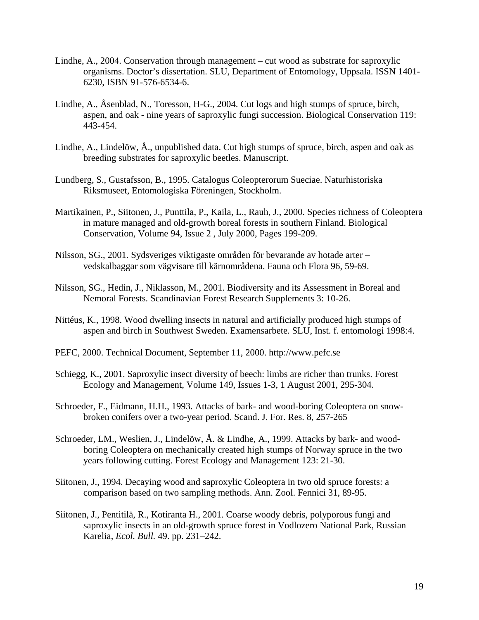- Lindhe, A., 2004. C onservation through management cut wood as substrate for saproxylic organisms. Doctor's dissertation. SLU, Department of Entomology, Uppsala. ISSN 1401- 6230, ISBN 91-576-6534-6.
- Lindhe, A., Åsenblad, N., Toresson, H-G., 2004. Cut logs and high stumps of spruce, birch, aspen, and oak - nine years of saproxylic fungi succession. Biological Conservation 119: 443-454.
- Lindhe, A., Lindelöw, Å., unpublished data. Cut high stumps of spruce, birch, aspen and oak as breeding substrates for saproxylic beetles. Manuscript.
- Lundberg, S., Gustafsson, B., 1995. Catalogus Coleopterorum Sueciae. Naturhistoriska Riksmuseet, Entomologiska Föreningen, Stockholm.
- Martikainen, P., Siitonen, J., Punttila, P., Kaila, L., Rauh, J., 2000. Species richness of Coleoptera in mature managed and old-growth boreal forests in southern Finland. Biological Conservation, Volume 94, Issue 2 , July 2000, Pages 199-209.
- Nilsson , SG., 2001. Sydsveriges viktigaste områden för bevarande av hotade arter vedskalbaggar som vägvisare till kärnområdena. Fauna och Flora 96, 59-69.
- Nilsson, SG., Hedin, J., Niklasson, M., 2001. Biodiversity and its Assessment in Boreal and Nemoral Forests. Scandinavian Forest Research Supplements 3: 10-26.
- Nittéus, K., 1998. Wood dwelling insects in natural and artificially produced high stumps of aspen and birch in Southwest Sweden. Examensarbete. SLU, Inst. f. entomologi 1998:4.
- PEFC, 2000. Technical Document, September 11, 2000. http://www.pefc.se
- Schiegg, K., 2001. Saproxylic insect diversity of beech: limbs are richer than trunks. Forest Ecology and Management, Volume 149, Issues 1-3, 1 August 2001, 295-304.
- Schroeder, F., Eidmann, H.H., 1993. Attacks of bark- and wood-boring Coleoptera on snowbroken conifers over a two-year period. Scand. J. For. Res. 8, 257-265
- Schroe der, LM., Weslien, J., Lindelöw, Å. & Lindhe, A., 1999. Attacks by bark- and woodboring Coleoptera on mechanically created high stumps of Norway spruce in the two years following cutting. Forest Ecology and Management 123: 21-30.
- Siitone n, J., 1994. Decaying wood and saproxylic Coleoptera in two old spruce forests: a comparison based on two sampling methods. Ann. Zool. Fennici 31, 89-95.
- Karelia, *Ecol. Bull.* 49. pp. 231–242. Siitonen, J., Pentitilä, R., Kotiranta H., 2001. Coarse woody debris, polyporous fungi and saproxylic insects in an old-growth spruce forest in Vodlozero National Park, Russian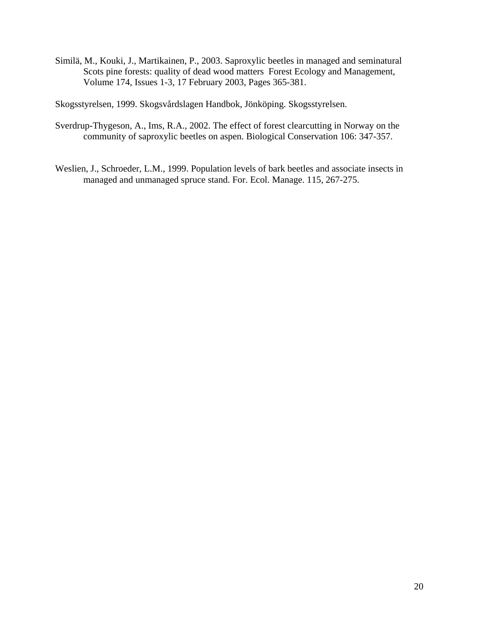Similä, M., Kouki, J., Martikainen, P., 2003. Saproxylic beetles in managed and seminatural Scots pine forests: quality of dead wood matters Forest Ecology and Management, Volume 174, Issues 1-3, 17 February 2003, Pages 365-381.

Skogsstyrelsen, 1999. Skogsvårdslagen Handbok, Jönköping. Skogsstyrelsen.

- Sverdrup-Thygeson, A., Ims, R.A., 2002. The effect of forest clearcutting in Norway on the community of saproxylic beetles on aspen. Biological Conservation 106: 347-357.
- Weslien, J., Schroeder, L.M., 1999. Population levels of bark beetles and associate insects in managed and unmanaged spruce stand. For. Ecol. Manage. 115, 267-275.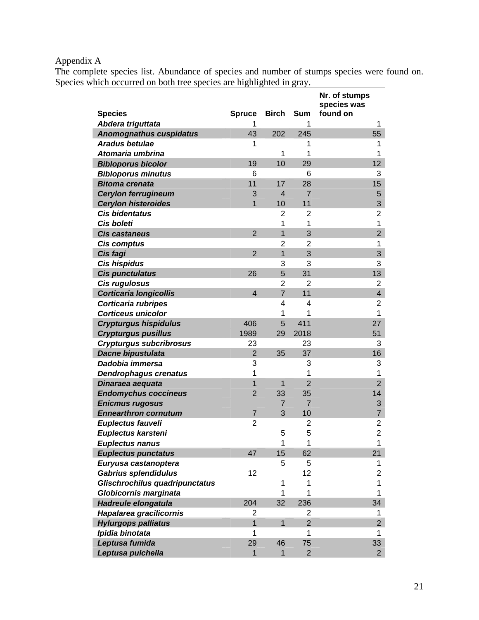## Appendix A

The complete species list. Abundance of species and number of stumps species were found on. Species which occurred on both tree species are highlighted in gray.

|                                                     |                    | <b>Birch</b>   | <b>Sum</b>          | Nr. of stumps<br>species was<br>found on |
|-----------------------------------------------------|--------------------|----------------|---------------------|------------------------------------------|
| <b>Species</b>                                      | <b>Spruce</b><br>1 |                | 1                   | 1                                        |
| Abdera triguttata<br><b>Anomognathus cuspidatus</b> | 43                 | 202            | 245                 | 55                                       |
| <b>Aradus betulae</b>                               | 1                  |                | 1                   | 1                                        |
| Atomaria umbrina                                    |                    | 1              | 1                   | 1                                        |
| <b>Bibloporus bicolor</b>                           | 19                 | 10             | 29                  | 12                                       |
| <b>Bibloporus minutus</b>                           | 6                  |                | 6                   | 3                                        |
| <b>Bitoma crenata</b>                               | 11                 | 17             | 28                  | 15                                       |
| <b>Cerylon ferrugineum</b>                          | 3                  | 4              | $\overline{7}$      | 5                                        |
| <b>Cerylon histeroides</b>                          | 1                  | 10             | 11                  | 3                                        |
| <b>Cis bidentatus</b>                               |                    | $\overline{2}$ | 2                   | $\overline{c}$                           |
| Cis boleti                                          |                    | 1              | 1                   | $\mathbf 1$                              |
| <b>Cis castaneus</b>                                | $\overline{2}$     | $\overline{1}$ | 3                   | $\overline{2}$                           |
| <b>Cis comptus</b>                                  |                    | $\overline{2}$ | $\overline{2}$      | 1                                        |
| Cis fagi                                            | $\overline{2}$     | $\overline{1}$ | 3                   | 3                                        |
| <b>Cis hispidus</b>                                 |                    | 3              | 3                   | 3                                        |
| Cis punctulatus                                     | 26                 | 5              | 31                  | 13                                       |
| Cis rugulosus                                       |                    | $\overline{2}$ | 2                   | 2                                        |
| <b>Corticaria longicollis</b>                       | $\overline{4}$     | $\overline{7}$ | 11                  | $\overline{\mathbf{4}}$                  |
| Corticaria rubripes                                 |                    | 4              | 4                   | $\overline{\mathbf{c}}$                  |
| <b>Corticeus unicolor</b>                           |                    | 1              | 1                   | 1                                        |
| <b>Crypturgus hispidulus</b>                        | 406                | 5              | 411                 | 27                                       |
| <b>Crypturgus pusillus</b>                          | 1989               | 29             | 2018                | 51                                       |
| <b>Crypturgus subcribrosus</b>                      | 23                 |                | 23                  | 3                                        |
| Dacne bipustulata                                   | $\overline{2}$     | 35             | 37                  | 16                                       |
| Dadobia immersa                                     | 3                  |                | 3                   | 3                                        |
| <b>Dendrophagus crenatus</b>                        | 1                  |                | 1                   | 1                                        |
| Dinaraea aequata                                    | 1                  | 1              | $\overline{2}$      | $\overline{2}$                           |
| <b>Endomychus coccineus</b>                         | $\overline{2}$     | 33             | 35                  | 14                                       |
| <b>Enicmus rugosus</b>                              |                    | 7              | $\overline{7}$      | 3                                        |
| <b>Ennearthron cornutum</b>                         | $\overline{7}$     | 3              | 10                  | $\overline{7}$                           |
| Euplectus fauveli                                   | $\overline{2}$     |                | 2                   | $\overline{\mathbf{c}}$                  |
| Euplectus karsteni                                  |                    | 5              | 5                   | $\overline{2}$                           |
| <b>Euplectus nanus</b>                              |                    | 1              | 1                   | 1                                        |
| <b>Euplectus punctatus</b>                          | 47                 | 15             | 62                  | 21                                       |
| Euryusa castanoptera                                |                    | 5              | 5                   | 1                                        |
| <b>Gabrius splendidulus</b>                         | 12                 |                | 12                  | 2                                        |
| Glischrochilus quadripunctatus                      |                    | 1              | 1                   | 1                                        |
| Globicornis marginata                               |                    | 1              | 1                   | 1                                        |
| Hadreule elongatula                                 | 204                | 32             | 236                 | 34                                       |
| Hapalarea gracilicornis                             | 2<br>$\mathbf{1}$  |                | 2                   | 1.                                       |
| <b>Hylurgops palliatus</b>                          |                    | 1              | $\overline{2}$<br>1 | $\overline{2}$                           |
| Ipidia binotata                                     | 1                  |                | 75                  | 1                                        |
| Leptusa fumida                                      | 29                 | 46             |                     | 33                                       |
| Leptusa pulchella                                   | 1                  | 1              | $\overline{2}$      | $\overline{2}$                           |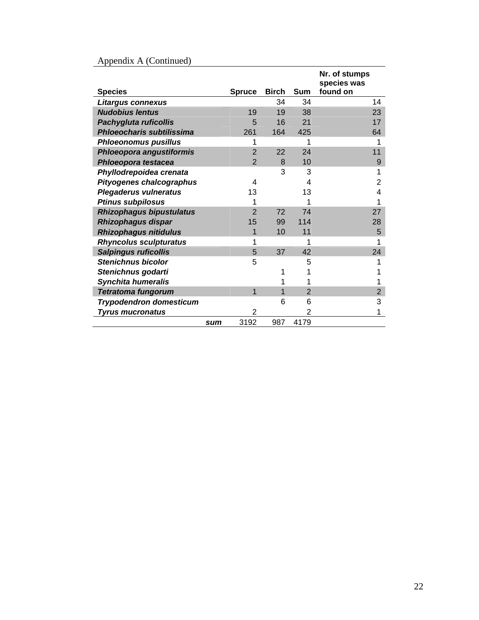| <b>Species</b>                   |     | <b>Spruce</b>  | <b>Birch</b> | <b>Sum</b>     | Nr. of stumps<br>species was<br>found on |
|----------------------------------|-----|----------------|--------------|----------------|------------------------------------------|
| Litargus connexus                |     |                | 34           | 34             | 14                                       |
| <b>Nudobius lentus</b>           |     | 19             | 19           | 38             | 23                                       |
|                                  |     | 5              | 16           | 21             | 17                                       |
| Pachygluta ruficollis            |     |                |              |                |                                          |
| <b>Phloeocharis subtilissima</b> |     | 261            | 164          | 425            | 64                                       |
| <b>Phloeonomus pusillus</b>      |     | 1              |              | 1              | 1                                        |
| Phloeopora angustiformis         |     | $\overline{2}$ | 22           | 24             | 11                                       |
| Phloeopora testacea              |     | $\overline{2}$ | 8            | 10             | 9                                        |
| Phyllodrepoidea crenata          |     |                | 3            | 3              | 1                                        |
| <b>Pityogenes chalcographus</b>  |     | 4              |              | 4              | 2                                        |
| <b>Plegaderus vulneratus</b>     |     | 13             |              | 13             | 4                                        |
| <b>Ptinus subpilosus</b>         |     |                |              |                |                                          |
| <b>Rhizophagus bipustulatus</b>  |     | $\mathcal{P}$  | 72           | 74             | 27                                       |
| Rhizophagus dispar               |     | 15             | 99           | 114            | 28                                       |
| <b>Rhizophagus nitidulus</b>     |     | 1              | 10           | 11             | 5                                        |
| <b>Rhyncolus sculpturatus</b>    |     | 1              |              | 1              | 1                                        |
| <b>Salpingus ruficollis</b>      |     | 5              | 37           | 42             | 24                                       |
| <b>Stenichnus bicolor</b>        |     | 5              |              | 5              |                                          |
| Stenichnus godarti               |     |                | 1            |                |                                          |
| <b>Synchita humeralis</b>        |     |                | 1            |                |                                          |
| <b>Tetratoma fungorum</b>        |     | 1              | 1            | $\overline{2}$ | $\overline{2}$                           |
| <b>Trypodendron domesticum</b>   |     |                | 6            | 6              | 3                                        |
| <b>Tyrus mucronatus</b>          |     | 2              |              | 2              | 1                                        |
|                                  |     |                |              |                |                                          |
|                                  | sum | 3192           | 987          | 4179           |                                          |

### Appendix A (Continued)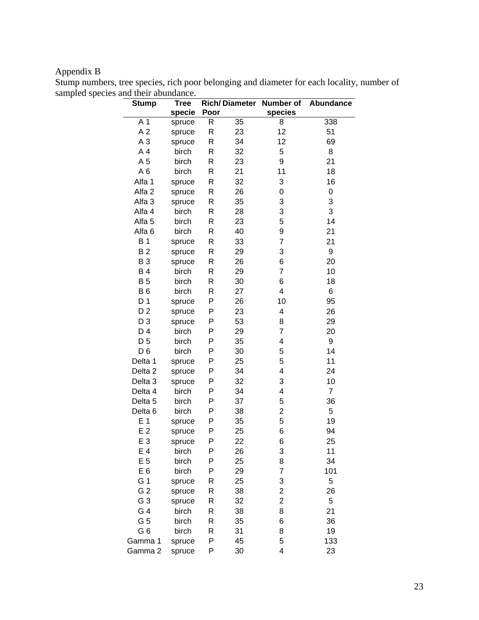# Appendix B

|                                                                                            |  | $\mathbf{O}$ (see Fig. $\mathbf{E}$ ) and $\mathbf{E}$ is the set of $\mathbf{E}$ is the set of $\mathbf{E}$ is the set of $\mathbf{E}$ |  |  |
|--------------------------------------------------------------------------------------------|--|-----------------------------------------------------------------------------------------------------------------------------------------|--|--|
| sampled species and their abundance.                                                       |  |                                                                                                                                         |  |  |
| Stump numbers, tree species, rich poor belonging and diameter for each locality, number of |  |                                                                                                                                         |  |  |

| <b>Stump</b>       | <b>Tree</b> |      | <b>Rich/Diameter</b> | Number of               | Abundance      |
|--------------------|-------------|------|----------------------|-------------------------|----------------|
|                    | specie      | Poor |                      | species                 |                |
| A 1                | spruce      | R    | 35                   | 8                       | 338            |
| A <sub>2</sub>     | spruce      | R    | 23                   | 12                      | 51             |
| A <sub>3</sub>     | spruce      | R    | 34                   | 12                      | 69             |
| A4                 | birch       | R    | 32                   | 5                       | 8              |
| A <sub>5</sub>     | birch       | R    | 23                   | 9                       | 21             |
| A <sub>6</sub>     | birch       | R    | 21                   | 11                      | 18             |
| Alfa 1             | spruce      | R    | 32                   | 3                       | 16             |
| Alfa <sub>2</sub>  | spruce      | R    | 26                   | 0                       | 0              |
| Alfa <sub>3</sub>  | spruce      | R    | 35                   | 3                       | 3              |
| Alfa 4             | birch       | R    | 28                   | 3                       | 3              |
| Alfa <sub>5</sub>  | birch       | R    | 23                   | 5                       | 14             |
| Alfa <sub>6</sub>  | birch       | R    | 40                   | 9                       | 21             |
| <b>B1</b>          | spruce      | R    | 33                   | $\overline{7}$          | 21             |
| <b>B2</b>          | spruce      | R    | 29                   | 3                       | 9              |
| <b>B3</b>          | spruce      | R    | 26                   | 6                       | 20             |
| <b>B4</b>          | birch       | R    | 29                   | $\overline{7}$          | 10             |
| <b>B5</b>          | birch       | R    | 30                   | 6                       | 18             |
| <b>B6</b>          | birch       | R    | 27                   | $\overline{\mathbf{4}}$ | 6              |
| D <sub>1</sub>     | spruce      | P    | 26                   | 10                      | 95             |
| D <sub>2</sub>     | spruce      | P    | 23                   | $\overline{\mathbf{4}}$ | 26             |
| $D_3$              | spruce      | P    | 53                   | 8                       | 29             |
| D 4                | birch       | P    | 29                   | $\overline{7}$          | 20             |
| D <sub>5</sub>     | birch       | P    | 35                   | $\overline{\mathbf{4}}$ | 9              |
| $D_6$              | birch       | P    | 30                   | 5                       | 14             |
| Delta 1            | spruce      | Ρ    | 25                   | 5                       | 11             |
| Delta <sub>2</sub> | spruce      | P    | 34                   | 4                       | 24             |
| Delta <sub>3</sub> | spruce      | P    | 32                   | 3                       | 10             |
| Delta 4            | birch       | P    | 34                   | $\overline{\mathbf{4}}$ | $\overline{7}$ |
| Delta <sub>5</sub> | birch       | P    | 37                   | 5                       | 36             |
| Delta <sub>6</sub> | birch       | P    | 38                   | $\overline{2}$          | 5              |
| E <sub>1</sub>     | spruce      | P    | 35                   | 5                       | 19             |
| E <sub>2</sub>     | spruce      | P    | 25                   | 6                       | 94             |
| E 3                | spruce      | Ρ    | 22                   | 6                       | 25             |
| $E_4$              | birch       | Ρ    | 26                   | 3                       | 11             |
| E <sub>5</sub>     | birch       | Ρ    | 25                   | 8                       | 34             |
| E <sub>6</sub>     | birch       | Ρ    | 29                   | 7                       | 101            |
| G 1                | spruce      | R    | 25                   | 3                       | 5              |
| G <sub>2</sub>     | spruce      | R    | 38                   | $\overline{\mathbf{c}}$ | 26             |
| G 3                | spruce      | R    | 32                   | $\overline{c}$          | 5              |
| G 4                | birch       | R    | 38                   | 8                       | 21             |
| G 5                | birch       | R    | 35                   | 6                       | 36             |
| G <sub>6</sub>     | birch       | R    | 31                   | 8                       | 19             |
| Gamma 1            | spruce      | P    | 45                   | 5                       | 133            |
| Gamma 2            | spruce      | Ρ    | 30                   | 4                       | 23             |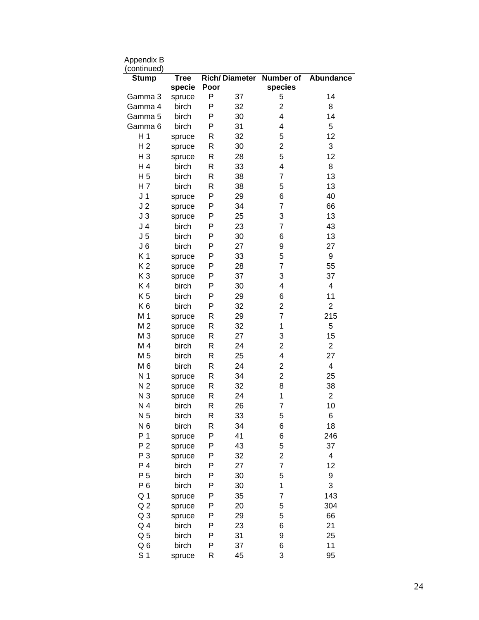| (continued)        |                       |      |                      |                      |                         |
|--------------------|-----------------------|------|----------------------|----------------------|-------------------------|
| <b>Stump</b>       | <b>Tree</b><br>specie | Poor | <b>Rich/Diameter</b> | Number of<br>species | Abundance               |
| Gamma 3            | spruce                | P    | 37                   | 5                    | 14                      |
| Gamma 4            | birch                 | Ρ    | 32                   | $\overline{2}$       | 8                       |
| Gamma 5            | birch                 | P    | 30                   | 4                    | 14                      |
| Gamma <sub>6</sub> | birch                 | P    | 31                   | 4                    | 5                       |
| H <sub>1</sub>     | spruce                | R    | 32                   | 5                    | 12                      |
| H <sub>2</sub>     | spruce                | R    | 30                   | $\overline{2}$       | 3                       |
| $H_3$              | spruce                | R    | 28                   | 5                    | 12                      |
| H <sub>4</sub>     | birch                 | R    | 33                   | 4                    | 8                       |
| H <sub>5</sub>     | birch                 | R    | 38                   | 7                    | 13                      |
| H 7                | birch                 | R    | 38                   | 5                    | 13                      |
| J <sub>1</sub>     | spruce                | P    | 29                   | 6                    | 40                      |
| J <sub>2</sub>     | spruce                | P    | 34                   | $\overline{7}$       | 66                      |
| J3                 | spruce                | P    | 25                   | 3                    | 13                      |
| J <sub>4</sub>     | birch                 | P    | 23                   | 7                    | 43                      |
| J <sub>5</sub>     | birch                 | P    | 30                   | 6                    | 13                      |
| J <sub>6</sub>     | birch                 | P    | 27                   | 9                    | 27                      |
| K1                 | spruce                | P    | 33                   | 5                    | 9                       |
| K <sub>2</sub>     | spruce                | P    | 28                   | 7                    | 55                      |
| K <sub>3</sub>     | spruce                | P    | 37                   | 3                    | 37                      |
| K4                 | birch                 | P    | 30                   | 4                    | $\overline{\mathbf{4}}$ |
| K <sub>5</sub>     | birch                 | P    | 29                   | 6                    | 11                      |
| K <sub>6</sub>     | birch                 | P    | 32                   | $\overline{2}$       | $\overline{2}$          |
| M 1                | spruce                | R    | 29                   | $\overline{7}$       | 215                     |
| M <sub>2</sub>     | spruce                | R    | 32                   | 1                    | 5                       |
| M 3                | spruce                | R    | 27                   | 3                    | 15                      |
| M 4                | birch                 | R    | 24                   | $\overline{2}$       | $\overline{2}$          |
| M <sub>5</sub>     | birch                 | R    | 25                   | 4                    | 27                      |
| M 6                | birch                 | R    | 24                   | $\overline{2}$       | $\overline{\mathbf{4}}$ |
| N <sub>1</sub>     | spruce                | R    | 34                   | $\overline{2}$       | 25                      |
| N <sub>2</sub>     | spruce                | R    | 32                   | 8                    | 38                      |
| N <sub>3</sub>     | spruce                | R    | 24                   | 1                    | 2                       |
| N <sub>4</sub>     | birch                 | R    | 26                   | 7                    | 10                      |
| N <sub>5</sub>     | birch                 | R    | 33                   | 5                    | 6                       |
| N <sub>6</sub>     | birch                 | R    | 34                   | 6                    | 18                      |
| P <sub>1</sub>     | spruce                | P    | 41                   | 6                    | 246                     |
| P <sub>2</sub>     | spruce                | Ρ    | 43                   | 5                    | 37                      |
| $P_3$              | spruce                | P    | 32                   | 2                    | 4                       |
| P <sub>4</sub>     | birch                 | P    | 27                   | $\overline{7}$       | 12                      |
| P <sub>5</sub>     | birch                 | P    | 30                   | 5                    | 9                       |
| $P_6$              | birch                 | P    | 30                   | 1                    | 3                       |
| Q <sub>1</sub>     | spruce                | P    | 35                   | 7                    | 143                     |
| Q <sub>2</sub>     | spruce                | P    | 20                   | 5                    | 304                     |
| Q <sub>3</sub>     | spruce                | Ρ    | 29                   | 5                    | 66                      |
| Q <sub>4</sub>     | birch                 | P    | 23                   | 6                    | 21                      |
| Q <sub>5</sub>     | birch                 | P    | 31                   | 9                    | 25                      |
| Q6                 | birch                 | Ρ    | 37                   | 6                    | 11                      |
| S <sub>1</sub>     | spruce                | R    | 45                   | 3                    | 95                      |